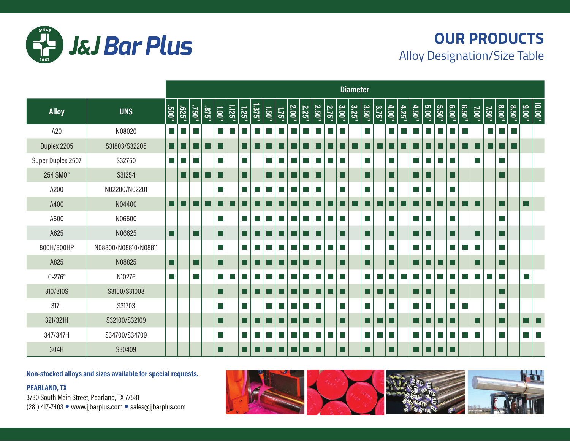

## **OUR PRODUCTS** Alloy Designation/Size Table

|                      |                      |                             |       |              |       |          |        |                |        |                 |             |              |                    |       |       |                       | <b>Diameter</b> |                                         |                        |                     |       |       |                        |       |        |              |              |             |       |       |                      |   |
|----------------------|----------------------|-----------------------------|-------|--------------|-------|----------|--------|----------------|--------|-----------------|-------------|--------------|--------------------|-------|-------|-----------------------|-----------------|-----------------------------------------|------------------------|---------------------|-------|-------|------------------------|-------|--------|--------------|--------------|-------------|-------|-------|----------------------|---|
| <b>Alloy</b>         | <b>UNS</b>           | "002.                       | -929' | .091         | .578. | $1.00$ " | 1.125" | <b>1.25"</b>   | 1.375" | <b>1.50"</b>    | <b>L75"</b> | <b>2.00"</b> | 2.25 <sup>th</sup> | 2.50" | 2.75" | $\frac{3.00"}{2.00"}$ | 3.25"           | $\begin{array}{c}\n3.50^n\n\end{array}$ | 3.75"                  | $\frac{4.00}{4.00}$ | 4.25" | 4.50" | 5.00"                  | 5.50" | 6.00"  | <b>6.50"</b> | <b>7.00"</b> | <b>750"</b> | 8.00" | 8.50" | $\frac{10.00}{9.00}$ |   |
| A20                  | N08020               | H                           |       | l.           |       | l a      |        |                |        |                 |             |              |                    |       | l II  |                       |                 |                                         |                        |                     |       |       | ×.                     |       |        |              |              | l.          | m.    | L.    |                      |   |
| Duplex 2205          | S31803/S32205        | . .                         |       |              |       | ш        |        |                |        |                 |             |              |                    |       |       |                       |                 |                                         |                        |                     |       |       |                        |       |        |              | - 1          |             | - 1   |       |                      |   |
| Super Duplex 2507    | S32750               | $\mathcal{L}_{\mathcal{A}}$ |       | l I          |       | a a      |        | l.             |        | ш               |             |              |                    | H     | ш     |                       |                 |                                         |                        |                     |       |       | $\blacksquare$         |       | l a    |              | l.           |             | L.    |       |                      |   |
| 254 SMO <sup>®</sup> | S31254               |                             |       |              |       | H        |        | l l            |        | I I             |             |              |                    |       |       | LI                    |                 |                                         |                        |                     |       |       | - 1                    |       | I I    |              |              |             |       |       |                      |   |
| A200                 | N02200/N02201        |                             |       |              |       |          |        |                | ×.     | l II            |             |              |                    |       |       |                       |                 |                                         |                        |                     |       |       | $\sim$                 |       | H      |              |              |             |       |       |                      |   |
| A400                 | N04400               | H                           |       |              |       |          |        |                |        |                 |             |              |                    |       |       |                       |                 |                                         |                        |                     |       |       | . I                    |       |        |              |              |             | LI    |       | L                    |   |
| A600                 | N06600               |                             |       |              |       |          |        | $\mathbb{R}^n$ | m.     | <b>Contract</b> |             |              |                    |       | ٠     |                       |                 |                                         |                        |                     |       |       | $\sim$                 |       | l a    |              |              |             | L.    |       |                      |   |
| A625                 | N06625               | l I                         |       | H            |       | l 1      |        |                |        |                 |             |              |                    |       |       |                       |                 |                                         |                        |                     |       |       | - 1                    |       | I I    |              |              |             |       |       |                      |   |
| 800H/800HP           | N08800/N08810/N08811 |                             |       |              |       | l I      |        | <b>College</b> |        |                 |             |              |                    |       |       |                       |                 |                                         |                        | I.                  |       |       | $\sim$                 |       | ×.     |              | I.           |             | I.    |       |                      |   |
| A825                 | N08825               | l I                         |       | $\mathsf{L}$ |       | l 1      |        |                |        |                 |             |              |                    |       |       |                       |                 |                                         |                        |                     |       |       |                        |       |        |              |              |             |       |       |                      |   |
| $C-276^\circ$        | N10276               | I.                          |       | I.           |       |          |        | l a l          |        |                 |             |              |                    |       |       |                       |                 |                                         | <b>Service Service</b> |                     |       |       | <b>Service Service</b> |       |        |              |              |             | l a   |       | p.                   |   |
| 310/310S             | S3100/S31008         |                             |       |              |       |          |        |                |        |                 |             |              |                    |       |       |                       |                 |                                         | . .                    |                     |       |       | - 1                    |       |        |              |              |             |       |       |                      |   |
| 317L                 | S31703               |                             |       |              |       |          |        | l.             |        |                 |             |              |                    |       |       | I.                    |                 |                                         |                        |                     |       |       | $\sim$                 |       | $\sim$ | l I          |              |             | I.    |       |                      |   |
| 321/321H             | S32100/S32109        |                             |       |              |       |          |        |                |        |                 |             |              |                    |       |       | LI                    |                 |                                         | . .                    |                     |       |       |                        |       |        |              |              |             | П     |       |                      |   |
| 347/347H             | S34700/S34709        |                             |       |              |       |          |        |                |        |                 |             |              |                    |       |       |                       |                 |                                         |                        |                     |       |       |                        |       |        |              |              |             | H     |       |                      | ш |
| 304H                 | S30409               |                             |       |              |       | Ш        |        |                |        |                 |             |              |                    |       |       | LI                    |                 |                                         |                        |                     |       |       |                        | ПN    |        |              |              |             |       |       |                      |   |

**Non-stocked alloys and sizes available for special requests.**

**PEARLAND, TX**  3730 South Main Street, Pearland, TX 77581 (281) 417-7403 • www.jjbarplus.com • sales@jjbarplus.com